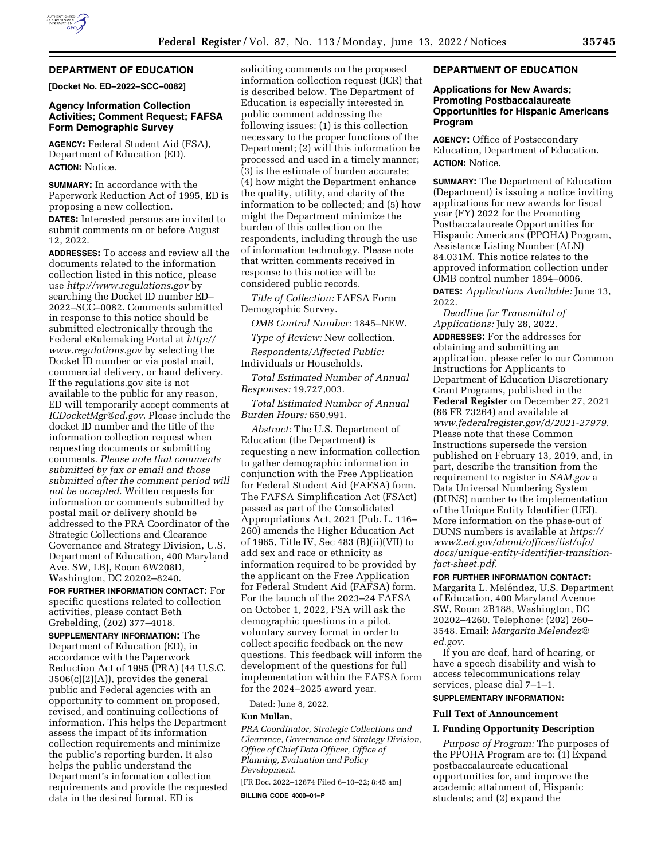

# **DEPARTMENT OF EDUCATION**

**[Docket No. ED–2022–SCC–0082]** 

## **Agency Information Collection Activities; Comment Request; FAFSA Form Demographic Survey**

**AGENCY:** Federal Student Aid (FSA), Department of Education (ED). **ACTION:** Notice.

**SUMMARY:** In accordance with the Paperwork Reduction Act of 1995, ED is proposing a new collection.

**DATES:** Interested persons are invited to submit comments on or before August 12, 2022.

**ADDRESSES:** To access and review all the documents related to the information collection listed in this notice, please use *<http://www.regulations.gov>*by searching the Docket ID number ED– 2022–SCC–0082. Comments submitted in response to this notice should be submitted electronically through the Federal eRulemaking Portal at *[http://](http://www.regulations.gov) [www.regulations.gov](http://www.regulations.gov)* by selecting the Docket ID number or via postal mail, commercial delivery, or hand delivery. If the regulations.gov site is not available to the public for any reason, ED will temporarily accept comments at *[ICDocketMgr@ed.gov](mailto:ICDocketMgr@ed.gov)*. Please include the docket ID number and the title of the information collection request when requesting documents or submitting comments. *Please note that comments submitted by fax or email and those submitted after the comment period will not be accepted*. Written requests for information or comments submitted by postal mail or delivery should be addressed to the PRA Coordinator of the Strategic Collections and Clearance Governance and Strategy Division, U.S. Department of Education, 400 Maryland Ave. SW, LBJ, Room 6W208D, Washington, DC 20202–8240.

**FOR FURTHER INFORMATION CONTACT:** For specific questions related to collection activities, please contact Beth Grebelding, (202) 377–4018.

**SUPPLEMENTARY INFORMATION:** The Department of Education (ED), in accordance with the Paperwork Reduction Act of 1995 (PRA) (44 U.S.C. 3506(c)(2)(A)), provides the general public and Federal agencies with an opportunity to comment on proposed, revised, and continuing collections of information. This helps the Department assess the impact of its information collection requirements and minimize the public's reporting burden. It also helps the public understand the Department's information collection requirements and provide the requested data in the desired format. ED is

soliciting comments on the proposed information collection request (ICR) that is described below. The Department of Education is especially interested in public comment addressing the following issues: (1) is this collection necessary to the proper functions of the Department; (2) will this information be processed and used in a timely manner; (3) is the estimate of burden accurate; (4) how might the Department enhance the quality, utility, and clarity of the information to be collected; and (5) how might the Department minimize the burden of this collection on the respondents, including through the use of information technology. Please note that written comments received in response to this notice will be considered public records.

*Title of Collection:* FAFSA Form Demographic Survey.

*OMB Control Number:* 1845–NEW.

*Type of Review:* New collection. *Respondents/Affected Public:*  Individuals or Households.

*Total Estimated Number of Annual Responses:* 19,727,003.

*Total Estimated Number of Annual Burden Hours:* 650,991.

*Abstract:* The U.S. Department of Education (the Department) is requesting a new information collection to gather demographic information in conjunction with the Free Application for Federal Student Aid (FAFSA) form. The FAFSA Simplification Act (FSAct) passed as part of the Consolidated Appropriations Act, 2021 (Pub. L. 116– 260) amends the Higher Education Act of 1965, Title IV, Sec 483 (B)(ii)(VII) to add sex and race or ethnicity as information required to be provided by the applicant on the Free Application for Federal Student Aid (FAFSA) form. For the launch of the 2023–24 FAFSA on October 1, 2022, FSA will ask the demographic questions in a pilot, voluntary survey format in order to collect specific feedback on the new questions. This feedback will inform the development of the questions for full implementation within the FAFSA form for the 2024–2025 award year.

Dated: June 8, 2022.

#### **Kun Mullan,**

*PRA Coordinator, Strategic Collections and Clearance, Governance and Strategy Division, Office of Chief Data Officer, Office of Planning, Evaluation and Policy Development.* 

[FR Doc. 2022–12674 Filed 6–10–22; 8:45 am]

**BILLING CODE 4000–01–P** 

### **DEPARTMENT OF EDUCATION**

### **Applications for New Awards; Promoting Postbaccalaureate Opportunities for Hispanic Americans Program**

**AGENCY:** Office of Postsecondary Education, Department of Education. **ACTION:** Notice.

**SUMMARY:** The Department of Education (Department) is issuing a notice inviting applications for new awards for fiscal year (FY) 2022 for the Promoting Postbaccalaureate Opportunities for Hispanic Americans (PPOHA) Program, Assistance Listing Number (ALN) 84.031M. This notice relates to the approved information collection under OMB control number 1894–0006. **DATES:** *Applications Available:* June 13, 2022.

*Deadline for Transmittal of Applications:* July 28, 2022.

**ADDRESSES:** For the addresses for obtaining and submitting an application, please refer to our Common Instructions for Applicants to Department of Education Discretionary Grant Programs, published in the **Federal Register** on December 27, 2021 (86 FR 73264) and available at *[www.federalregister.gov/d/2021-27979.](http://www.federalregister.gov/d/2021-27979)*  Please note that these Common Instructions supersede the version published on February 13, 2019, and, in part, describe the transition from the requirement to register in *SAM.gov* a Data Universal Numbering System (DUNS) number to the implementation of the Unique Entity Identifier (UEI). More information on the phase-out of DUNS numbers is available at *[https://](https://www2.ed.gov/about/offices/list/ofo/docs/unique-entity-identifier-transition-fact-sheet.pdf) [www2.ed.gov/about/offices/list/ofo/](https://www2.ed.gov/about/offices/list/ofo/docs/unique-entity-identifier-transition-fact-sheet.pdf) [docs/unique-entity-identifier-transition](https://www2.ed.gov/about/offices/list/ofo/docs/unique-entity-identifier-transition-fact-sheet.pdf)[fact-sheet.pdf.](https://www2.ed.gov/about/offices/list/ofo/docs/unique-entity-identifier-transition-fact-sheet.pdf)* 

**FOR FURTHER INFORMATION CONTACT:**  Margarita L. Meléndez, U.S. Department of Education, 400 Maryland Avenue SW, Room 2B188, Washington, DC 20202–4260. Telephone: (202) 260– 3548. Email: *[Margarita.Melendez@](mailto:Margarita.Melendez@ed.gov)*

If you are deaf, hard of hearing, or have a speech disability and wish to access telecommunications relay services, please dial 7–1–1.

## **SUPPLEMENTARY INFORMATION:**

## **Full Text of Announcement**

*[ed.gov.](mailto:Margarita.Melendez@ed.gov)* 

#### **I. Funding Opportunity Description**

*Purpose of Program:* The purposes of the PPOHA Program are to: (1) Expand postbaccalaureate educational opportunities for, and improve the academic attainment of, Hispanic students; and (2) expand the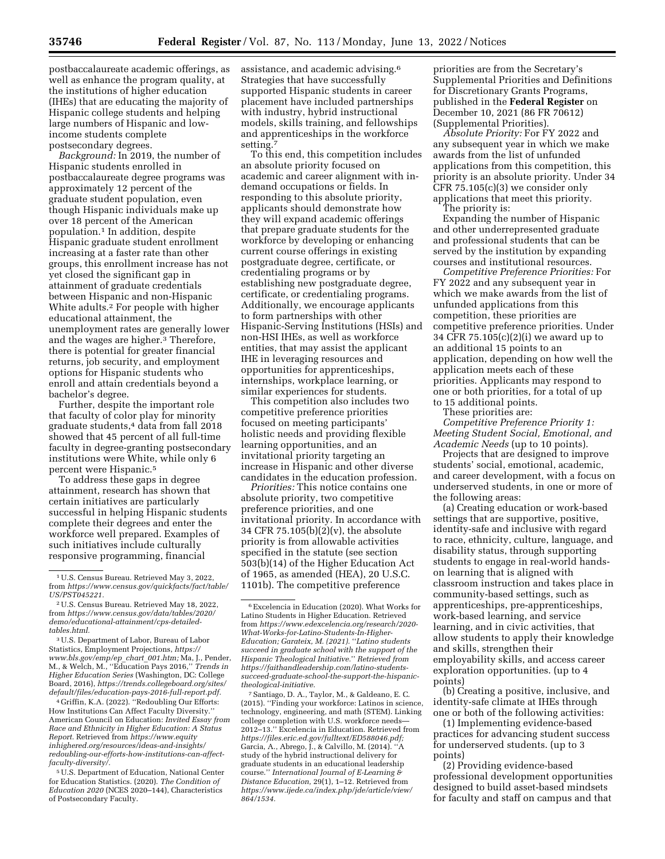postbaccalaureate academic offerings, as well as enhance the program quality, at the institutions of higher education (IHEs) that are educating the majority of Hispanic college students and helping large numbers of Hispanic and lowincome students complete postsecondary degrees.

*Background:* In 2019, the number of Hispanic students enrolled in postbaccalaureate degree programs was approximately 12 percent of the graduate student population, even though Hispanic individuals make up over 18 percent of the American population.1 In addition, despite Hispanic graduate student enrollment increasing at a faster rate than other groups, this enrollment increase has not yet closed the significant gap in attainment of graduate credentials between Hispanic and non-Hispanic White adults.2 For people with higher educational attainment, the unemployment rates are generally lower and the wages are higher.<sup>3</sup> Therefore, there is potential for greater financial returns, job security, and employment options for Hispanic students who enroll and attain credentials beyond a bachelor's degree.

Further, despite the important role that faculty of color play for minority graduate students,4 data from fall 2018 showed that 45 percent of all full-time faculty in degree-granting postsecondary institutions were White, while only 6 percent were Hispanic.5

To address these gaps in degree attainment, research has shown that certain initiatives are particularly successful in helping Hispanic students complete their degrees and enter the workforce well prepared. Examples of such initiatives include culturally responsive programming, financial

3U.S. Department of Labor, Bureau of Labor Statistics, Employment Projections, *[https://](https://www.bls.gov/emp/ep_chart_001.htm) [www.bls.gov/emp/ep](https://www.bls.gov/emp/ep_chart_001.htm)*\_*chart*\_*001.htm;* Ma, J., Pender, M., & Welch, M., ''Education Pays 2016,'' *Trends in Higher Education Series* (Washington, DC: College Board, 2016), *[https://trends.collegeboard.org/sites/](https://trends.collegeboard.org/sites/default/files/education-pays-2016-full-report.pdf) [default/files/education-pays-2016-full-report.pdf.](https://trends.collegeboard.org/sites/default/files/education-pays-2016-full-report.pdf)* 

4 Griffin, K.A. (2022). ''Redoubling Our Efforts: How Institutions Can Affect Faculty Diversity.'' American Council on Education: *Invited Essay from Race and Ethnicity in Higher Education: A Status Report.* Retrieved from *[https://www.equity](https://www.equityinhighered.org/resources/ideas-and-insights/redoubling-our-efforts-how-institutions-can-affect-faculty-diversity/) [inhighered.org/resources/ideas-and-insights/](https://www.equityinhighered.org/resources/ideas-and-insights/redoubling-our-efforts-how-institutions-can-affect-faculty-diversity/) [redoubling-our-efforts-how-institutions-can-affect](https://www.equityinhighered.org/resources/ideas-and-insights/redoubling-our-efforts-how-institutions-can-affect-faculty-diversity/)[faculty-diversity/.](https://www.equityinhighered.org/resources/ideas-and-insights/redoubling-our-efforts-how-institutions-can-affect-faculty-diversity/)* 

5U.S. Department of Education, National Center for Education Statistics. (2020). *The Condition of Education 2020* (NCES 2020–144), Characteristics of Postsecondary Faculty.

assistance, and academic advising.6 Strategies that have successfully supported Hispanic students in career placement have included partnerships with industry, hybrid instructional models, skills training, and fellowships and apprenticeships in the workforce setting.7

To this end, this competition includes an absolute priority focused on academic and career alignment with indemand occupations or fields. In responding to this absolute priority, applicants should demonstrate how they will expand academic offerings that prepare graduate students for the workforce by developing or enhancing current course offerings in existing postgraduate degree, certificate, or credentialing programs or by establishing new postgraduate degree, certificate, or credentialing programs. Additionally, we encourage applicants to form partnerships with other Hispanic-Serving Institutions (HSIs) and non-HSI IHEs, as well as workforce entities, that may assist the applicant IHE in leveraging resources and opportunities for apprenticeships, internships, workplace learning, or similar experiences for students.

This competition also includes two competitive preference priorities focused on meeting participants' holistic needs and providing flexible learning opportunities, and an invitational priority targeting an increase in Hispanic and other diverse candidates in the education profession.

*Priorities:* This notice contains one absolute priority, two competitive preference priorities, and one invitational priority. In accordance with 34 CFR 75.105(b)(2)(v), the absolute priority is from allowable activities specified in the statute (see section 503(b)(14) of the Higher Education Act of 1965, as amended (HEA), 20 U.S.C. 1101b). The competitive preference

7Santiago, D. A., Taylor, M., & Galdeano, E. C. (2015). ''Finding your workforce: Latinos in science, technology, engineering, and math (STEM). Linking college completion with U.S. workforce needs— 2012–13.'' Excelencia in Education. Retrieved from *[https://files.eric.ed.gov/fulltext/ED588046.pdf;](https://files.eric.ed.gov/fulltext/ED588046.pdf)*  Garcia, A., Abrego, J., & Calvillo, M. (2014). ''A study of the hybrid instructional delivery for graduate students in an educational leadership course.'' *International Journal of E-Learning & Distance Education,* 29(1), 1–12. Retrieved from *[https://www.ijede.ca/index.php/jde/article/view/](https://www.ijede.ca/index.php/jde/article/view/864/1534)  [864/1534.](https://www.ijede.ca/index.php/jde/article/view/864/1534)* 

priorities are from the Secretary's Supplemental Priorities and Definitions for Discretionary Grants Programs, published in the **Federal Register** on December 10, 2021 (86 FR 70612) (Supplemental Priorities).

*Absolute Priority:* For FY 2022 and any subsequent year in which we make awards from the list of unfunded applications from this competition, this priority is an absolute priority. Under 34 CFR 75.105(c)(3) we consider only applications that meet this priority.

The priority is: Expanding the number of Hispanic and other underrepresented graduate and professional students that can be served by the institution by expanding courses and institutional resources.

*Competitive Preference Priorities:* For FY 2022 and any subsequent year in which we make awards from the list of unfunded applications from this competition, these priorities are competitive preference priorities. Under 34 CFR 75.105(c)(2)(i) we award up to an additional 15 points to an application, depending on how well the application meets each of these priorities. Applicants may respond to one or both priorities, for a total of up to 15 additional points.

These priorities are:

*Competitive Preference Priority 1: Meeting Student Social, Emotional, and Academic Needs* (up to 10 points).

Projects that are designed to improve students' social, emotional, academic, and career development, with a focus on underserved students, in one or more of the following areas:

(a) Creating education or work-based settings that are supportive, positive, identity-safe and inclusive with regard to race, ethnicity, culture, language, and disability status, through supporting students to engage in real-world handson learning that is aligned with classroom instruction and takes place in community-based settings, such as apprenticeships, pre-apprenticeships, work-based learning, and service learning, and in civic activities, that allow students to apply their knowledge and skills, strengthen their employability skills, and access career exploration opportunities. (up to 4 points)

(b) Creating a positive, inclusive, and identity-safe climate at IHEs through one or both of the following activities:

(1) Implementing evidence-based practices for advancing student success for underserved students. (up to 3 points)

(2) Providing evidence-based professional development opportunities designed to build asset-based mindsets for faculty and staff on campus and that

<sup>1</sup>U.S. Census Bureau. Retrieved May 3, 2022, from *[https://www.census.gov/quickfacts/fact/table/](https://www.census.gov/quickfacts/fact/table/US/PST045221) [US/PST045221.](https://www.census.gov/quickfacts/fact/table/US/PST045221)* 

<sup>2</sup>U.S. Census Bureau. Retrieved May 18, 2022, from *[https://www.census.gov/data/tables/2020/](https://www.census.gov/data/tables/2020/demo/educational-attainment/cps-detailed-tables.html) [demo/educational-attainment/cps-detailed](https://www.census.gov/data/tables/2020/demo/educational-attainment/cps-detailed-tables.html)[tables.html.](https://www.census.gov/data/tables/2020/demo/educational-attainment/cps-detailed-tables.html)* 

<sup>6</sup>Excelencia in Education (2020). What Works for Latino Students in Higher Education. Retrieved from *[https://www.edexcelencia.org/research/2020-](https://www.edexcelencia.org/research/2020-What-Works-for-Latino-Students-In-Higher-Education) [What-Works-for-Latino-Students-In-Higher-](https://www.edexcelencia.org/research/2020-What-Works-for-Latino-Students-In-Higher-Education)[Education;](https://www.edexcelencia.org/research/2020-What-Works-for-Latino-Students-In-Higher-Education) Garateix, M. (2021).* ''*Latino students succeed in graduate school with the support of the Hispanic Theological Initiative.*'' *Retrieved from [https://faithandleadership.com/latino-students](https://faithandleadership.com/latino-students-succeed-graduate-school-the-support-the-hispanic-theological-initiative)[succeed-graduate-school-the-support-the-hispanic](https://faithandleadership.com/latino-students-succeed-graduate-school-the-support-the-hispanic-theological-initiative)[theological-initiative.](https://faithandleadership.com/latino-students-succeed-graduate-school-the-support-the-hispanic-theological-initiative)*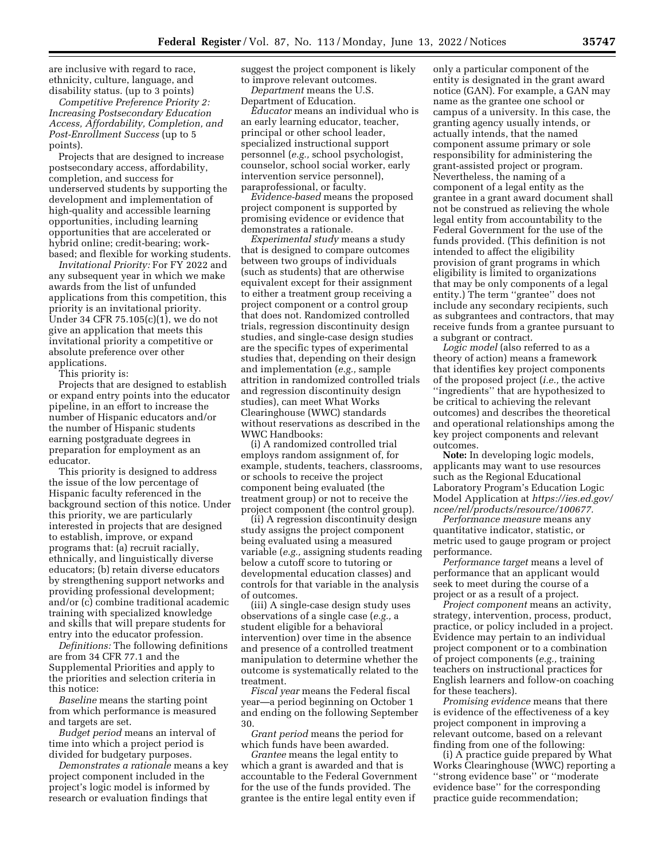are inclusive with regard to race, ethnicity, culture, language, and disability status. (up to 3 points)

*Competitive Preference Priority 2: Increasing Postsecondary Education Access, Affordability, Completion, and Post-Enrollment Success* (up to 5 points).

Projects that are designed to increase postsecondary access, affordability, completion, and success for underserved students by supporting the development and implementation of high-quality and accessible learning opportunities, including learning opportunities that are accelerated or hybrid online; credit-bearing; workbased; and flexible for working students.

*Invitational Priority:* For FY 2022 and any subsequent year in which we make awards from the list of unfunded applications from this competition, this priority is an invitational priority. Under 34 CFR 75.105(c)(1), we do not give an application that meets this invitational priority a competitive or absolute preference over other applications.

This priority is:

Projects that are designed to establish or expand entry points into the educator pipeline, in an effort to increase the number of Hispanic educators and/or the number of Hispanic students earning postgraduate degrees in preparation for employment as an educator.

This priority is designed to address the issue of the low percentage of Hispanic faculty referenced in the background section of this notice. Under this priority, we are particularly interested in projects that are designed to establish, improve, or expand programs that: (a) recruit racially, ethnically, and linguistically diverse educators; (b) retain diverse educators by strengthening support networks and providing professional development; and/or (c) combine traditional academic training with specialized knowledge and skills that will prepare students for entry into the educator profession.

*Definitions:* The following definitions are from 34 CFR 77.1 and the Supplemental Priorities and apply to the priorities and selection criteria in this notice:

*Baseline* means the starting point from which performance is measured and targets are set.

*Budget period* means an interval of time into which a project period is divided for budgetary purposes.

*Demonstrates a rationale* means a key project component included in the project's logic model is informed by research or evaluation findings that

suggest the project component is likely to improve relevant outcomes. *Department* means the U.S.

Department of Education.

*Educator* means an individual who is an early learning educator, teacher, principal or other school leader, specialized instructional support personnel (*e.g.,* school psychologist, counselor, school social worker, early intervention service personnel), paraprofessional, or faculty.

*Evidence-based* means the proposed project component is supported by promising evidence or evidence that demonstrates a rationale.

*Experimental study* means a study that is designed to compare outcomes between two groups of individuals (such as students) that are otherwise equivalent except for their assignment to either a treatment group receiving a project component or a control group that does not. Randomized controlled trials, regression discontinuity design studies, and single-case design studies are the specific types of experimental studies that, depending on their design and implementation (*e.g.,* sample attrition in randomized controlled trials and regression discontinuity design studies), can meet What Works Clearinghouse (WWC) standards without reservations as described in the WWC Handbooks:

(i) A randomized controlled trial employs random assignment of, for example, students, teachers, classrooms, or schools to receive the project component being evaluated (the treatment group) or not to receive the project component (the control group).

(ii) A regression discontinuity design study assigns the project component being evaluated using a measured variable (*e.g.,* assigning students reading below a cutoff score to tutoring or developmental education classes) and controls for that variable in the analysis of outcomes.

(iii) A single-case design study uses observations of a single case (*e.g.,* a student eligible for a behavioral intervention) over time in the absence and presence of a controlled treatment manipulation to determine whether the outcome is systematically related to the treatment.

*Fiscal year* means the Federal fiscal year—a period beginning on October 1 and ending on the following September 30.

*Grant period* means the period for which funds have been awarded.

*Grantee* means the legal entity to which a grant is awarded and that is accountable to the Federal Government for the use of the funds provided. The grantee is the entire legal entity even if

only a particular component of the entity is designated in the grant award notice (GAN). For example, a GAN may name as the grantee one school or campus of a university. In this case, the granting agency usually intends, or actually intends, that the named component assume primary or sole responsibility for administering the grant-assisted project or program. Nevertheless, the naming of a component of a legal entity as the grantee in a grant award document shall not be construed as relieving the whole legal entity from accountability to the Federal Government for the use of the funds provided. (This definition is not intended to affect the eligibility provision of grant programs in which eligibility is limited to organizations that may be only components of a legal entity.) The term ''grantee'' does not include any secondary recipients, such as subgrantees and contractors, that may receive funds from a grantee pursuant to a subgrant or contract.

*Logic model* (also referred to as a theory of action) means a framework that identifies key project components of the proposed project (*i.e.,* the active ''ingredients'' that are hypothesized to be critical to achieving the relevant outcomes) and describes the theoretical and operational relationships among the key project components and relevant outcomes.

**Note:** In developing logic models, applicants may want to use resources such as the Regional Educational Laboratory Program's Education Logic Model Application at *[https://ies.ed.gov/](https://ies.ed.gov/ncee/rel/products/resource/100677)  [ncee/rel/products/resource/100677.](https://ies.ed.gov/ncee/rel/products/resource/100677)* 

*Performance measure* means any quantitative indicator, statistic, or metric used to gauge program or project performance.

*Performance target* means a level of performance that an applicant would seek to meet during the course of a project or as a result of a project.

*Project component* means an activity, strategy, intervention, process, product, practice, or policy included in a project. Evidence may pertain to an individual project component or to a combination of project components (*e.g.,* training teachers on instructional practices for English learners and follow-on coaching for these teachers).

*Promising evidence* means that there is evidence of the effectiveness of a key project component in improving a relevant outcome, based on a relevant finding from one of the following:

(i) A practice guide prepared by What Works Clearinghouse (WWC) reporting a ''strong evidence base'' or ''moderate evidence base'' for the corresponding practice guide recommendation;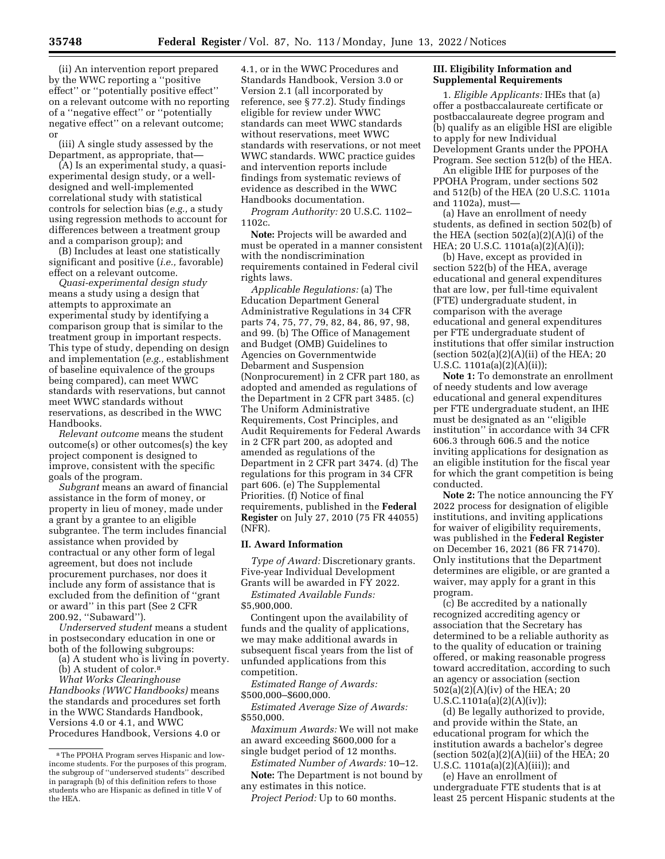(ii) An intervention report prepared by the WWC reporting a ''positive effect'' or ''potentially positive effect'' on a relevant outcome with no reporting of a ''negative effect'' or ''potentially negative effect'' on a relevant outcome; or

(iii) A single study assessed by the Department, as appropriate, that—

(A) Is an experimental study, a quasiexperimental design study, or a welldesigned and well-implemented correlational study with statistical controls for selection bias (*e.g.,* a study using regression methods to account for differences between a treatment group and a comparison group); and

(B) Includes at least one statistically significant and positive (*i.e.,* favorable) effect on a relevant outcome.

*Quasi-experimental design study*  means a study using a design that attempts to approximate an experimental study by identifying a comparison group that is similar to the treatment group in important respects. This type of study, depending on design and implementation (*e.g.,* establishment of baseline equivalence of the groups being compared), can meet WWC standards with reservations, but cannot meet WWC standards without reservations, as described in the WWC Handbooks.

*Relevant outcome* means the student outcome(s) or other outcomes(s) the key project component is designed to improve, consistent with the specific goals of the program.

*Subgrant* means an award of financial assistance in the form of money, or property in lieu of money, made under a grant by a grantee to an eligible subgrantee. The term includes financial assistance when provided by contractual or any other form of legal agreement, but does not include procurement purchases, nor does it include any form of assistance that is excluded from the definition of ''grant or award'' in this part (See 2 CFR 200.92, ''Subaward'').

*Underserved student* means a student in postsecondary education in one or both of the following subgroups:

(a) A student who is living in poverty. (b) A student of color.8

*What Works Clearinghouse* 

*Handbooks (WWC Handbooks)* means the standards and procedures set forth in the WWC Standards Handbook, Versions 4.0 or 4.1, and WWC Procedures Handbook, Versions 4.0 or

4.1, or in the WWC Procedures and Standards Handbook, Version 3.0 or Version 2.1 (all incorporated by reference, see § 77.2). Study findings eligible for review under WWC standards can meet WWC standards without reservations, meet WWC standards with reservations, or not meet WWC standards. WWC practice guides and intervention reports include findings from systematic reviews of evidence as described in the WWC Handbooks documentation.

*Program Authority:* 20 U.S.C. 1102– 1102c.

**Note:** Projects will be awarded and must be operated in a manner consistent with the nondiscrimination requirements contained in Federal civil rights laws.

*Applicable Regulations:* (a) The Education Department General Administrative Regulations in 34 CFR parts 74, 75, 77, 79, 82, 84, 86, 97, 98, and 99. (b) The Office of Management and Budget (OMB) Guidelines to Agencies on Governmentwide Debarment and Suspension (Nonprocurement) in 2 CFR part 180, as adopted and amended as regulations of the Department in 2 CFR part 3485. (c) The Uniform Administrative Requirements, Cost Principles, and Audit Requirements for Federal Awards in 2 CFR part 200, as adopted and amended as regulations of the Department in 2 CFR part 3474. (d) The regulations for this program in 34 CFR part 606. (e) The Supplemental Priorities. (f) Notice of final requirements, published in the **Federal Register** on July 27, 2010 (75 FR 44055) (NFR).

### **II. Award Information**

*Type of Award:* Discretionary grants. Five-year Individual Development Grants will be awarded in FY 2022.

*Estimated Available Funds:*  \$5,900,000.

Contingent upon the availability of funds and the quality of applications, we may make additional awards in subsequent fiscal years from the list of unfunded applications from this competition.

*Estimated Range of Awards:*  \$500,000–\$600,000.

*Estimated Average Size of Awards:*  \$550,000.

*Maximum Awards:* We will not make an award exceeding \$600,000 for a single budget period of 12 months.

*Estimated Number of Awards:* 10–12. **Note:** The Department is not bound by any estimates in this notice.

*Project Period:* Up to 60 months.

### **III. Eligibility Information and Supplemental Requirements**

1. *Eligible Applicants:* IHEs that (a) offer a postbaccalaureate certificate or postbaccalaureate degree program and (b) qualify as an eligible HSI are eligible to apply for new Individual Development Grants under the PPOHA Program. See section 512(b) of the HEA.

An eligible IHE for purposes of the PPOHA Program, under sections 502 and 512(b) of the HEA (20 U.S.C. 1101a and 1102a), must—

(a) Have an enrollment of needy students, as defined in section 502(b) of the HEA (section 502(a)(2)(A)(i) of the HEA; 20 U.S.C. 1101a(a)(2)(A)(i));

(b) Have, except as provided in section 522(b) of the HEA, average educational and general expenditures that are low, per full-time equivalent (FTE) undergraduate student, in comparison with the average educational and general expenditures per FTE undergraduate student of institutions that offer similar instruction (section  $502(a)(2)(A)(ii)$  of the HEA; 20 U.S.C. 1101a(a)(2)(A)(ii));

**Note 1:** To demonstrate an enrollment of needy students and low average educational and general expenditures per FTE undergraduate student, an IHE must be designated as an ''eligible institution'' in accordance with 34 CFR 606.3 through 606.5 and the notice inviting applications for designation as an eligible institution for the fiscal year for which the grant competition is being conducted.

**Note 2:** The notice announcing the FY 2022 process for designation of eligible institutions, and inviting applications for waiver of eligibility requirements, was published in the **Federal Register**  on December 16, 2021 (86 FR 71470). Only institutions that the Department determines are eligible, or are granted a waiver, may apply for a grant in this program.

(c) Be accredited by a nationally recognized accrediting agency or association that the Secretary has determined to be a reliable authority as to the quality of education or training offered, or making reasonable progress toward accreditation, according to such an agency or association (section 502(a)(2)(A)(iv) of the HEA; 20 U.S.C.1101a(a)(2)(A)(iv));

(d) Be legally authorized to provide, and provide within the State, an educational program for which the institution awards a bachelor's degree (section  $502(a)(2)(A)(iii)$  of the HEA; 20 U.S.C. 1101a(a)(2)(A)(iii)); and

(e) Have an enrollment of undergraduate FTE students that is at least 25 percent Hispanic students at the

<sup>8</sup>The PPOHA Program serves Hispanic and lowincome students. For the purposes of this program, the subgroup of ''underserved students'' described in paragraph (b) of this definition refers to those students who are Hispanic as defined in title V of the HEA.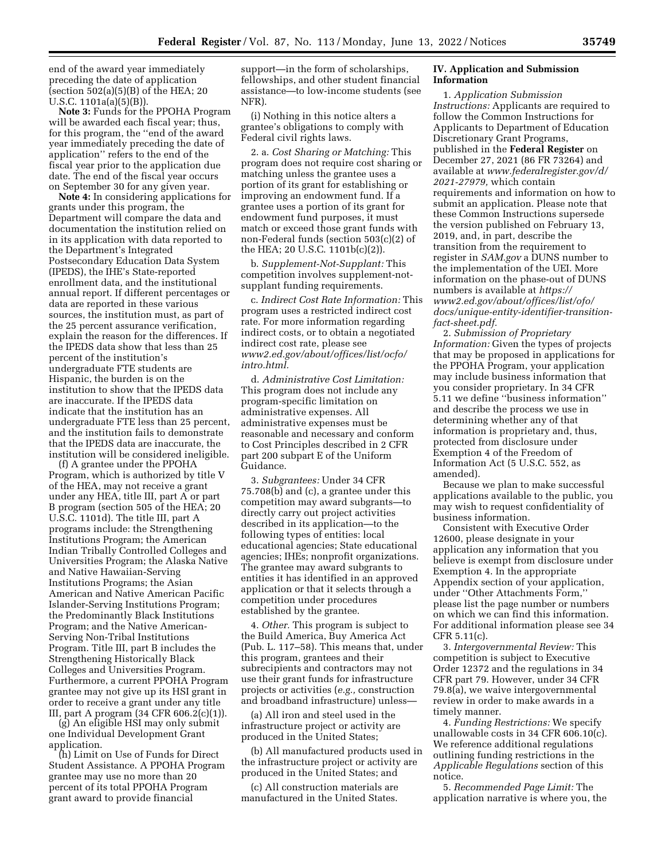end of the award year immediately preceding the date of application (section  $502(a)(5)(B)$  of the HEA; 20 U.S.C. 1101a(a)(5)(B)).

**Note 3:** Funds for the PPOHA Program will be awarded each fiscal year; thus, for this program, the ''end of the award year immediately preceding the date of application'' refers to the end of the fiscal year prior to the application due date. The end of the fiscal year occurs on September 30 for any given year.

**Note 4:** In considering applications for grants under this program, the Department will compare the data and documentation the institution relied on in its application with data reported to the Department's Integrated Postsecondary Education Data System (IPEDS), the IHE's State-reported enrollment data, and the institutional annual report. If different percentages or data are reported in these various sources, the institution must, as part of the 25 percent assurance verification, explain the reason for the differences. If the IPEDS data show that less than 25 percent of the institution's undergraduate FTE students are Hispanic, the burden is on the institution to show that the IPEDS data are inaccurate. If the IPEDS data indicate that the institution has an undergraduate FTE less than 25 percent, and the institution fails to demonstrate that the IPEDS data are inaccurate, the institution will be considered ineligible.

(f) A grantee under the PPOHA Program, which is authorized by title V of the HEA, may not receive a grant under any HEA, title III, part A or part B program (section 505 of the HEA; 20 U.S.C. 1101d). The title III, part A programs include: the Strengthening Institutions Program; the American Indian Tribally Controlled Colleges and Universities Program; the Alaska Native and Native Hawaiian-Serving Institutions Programs; the Asian American and Native American Pacific Islander-Serving Institutions Program; the Predominantly Black Institutions Program; and the Native American-Serving Non-Tribal Institutions Program. Title III, part B includes the Strengthening Historically Black Colleges and Universities Program. Furthermore, a current PPOHA Program grantee may not give up its HSI grant in order to receive a grant under any title III, part A program (34 CFR 606.2(c)(1)).

(g) An eligible HSI may only submit one Individual Development Grant application.

(h) Limit on Use of Funds for Direct Student Assistance. A PPOHA Program grantee may use no more than 20 percent of its total PPOHA Program grant award to provide financial

support—in the form of scholarships, fellowships, and other student financial assistance—to low-income students (see NFR).

(i) Nothing in this notice alters a grantee's obligations to comply with Federal civil rights laws.

2. a. *Cost Sharing or Matching:* This program does not require cost sharing or matching unless the grantee uses a portion of its grant for establishing or improving an endowment fund. If a grantee uses a portion of its grant for endowment fund purposes, it must match or exceed those grant funds with non-Federal funds (section 503(c)(2) of the HEA; 20 U.S.C. 1101b(c)(2)).

b. *Supplement-Not-Supplant:* This competition involves supplement-notsupplant funding requirements.

c. *Indirect Cost Rate Information:* This program uses a restricted indirect cost rate. For more information regarding indirect costs, or to obtain a negotiated indirect cost rate, please see *[www2.ed.gov/about/offices/list/ocfo/](http://www2.ed.gov/about/offices/list/ocfo/intro.html)  [intro.html.](http://www2.ed.gov/about/offices/list/ocfo/intro.html)* 

d. *Administrative Cost Limitation:*  This program does not include any program-specific limitation on administrative expenses. All administrative expenses must be reasonable and necessary and conform to Cost Principles described in 2 CFR part 200 subpart E of the Uniform Guidance.

3. *Subgrantees:* Under 34 CFR 75.708(b) and (c), a grantee under this competition may award subgrants—to directly carry out project activities described in its application—to the following types of entities: local educational agencies; State educational agencies; IHEs; nonprofit organizations. The grantee may award subgrants to entities it has identified in an approved application or that it selects through a competition under procedures established by the grantee.

4. *Other.* This program is subject to the Build America, Buy America Act (Pub. L. 117–58). This means that, under this program, grantees and their subrecipients and contractors may not use their grant funds for infrastructure projects or activities (*e.g.,* construction and broadband infrastructure) unless—

(a) All iron and steel used in the infrastructure project or activity are produced in the United States;

(b) All manufactured products used in the infrastructure project or activity are produced in the United States; and

(c) All construction materials are manufactured in the United States.

### **IV. Application and Submission Information**

1. *Application Submission Instructions:* Applicants are required to follow the Common Instructions for Applicants to Department of Education Discretionary Grant Programs, published in the **Federal Register** on December 27, 2021 (86 FR 73264) and available at *[www.federalregister.gov/d/](http://www.federalregister.gov/d/2021-27979)  [2021-27979,](http://www.federalregister.gov/d/2021-27979)* which contain requirements and information on how to submit an application. Please note that these Common Instructions supersede the version published on February 13, 2019, and, in part, describe the transition from the requirement to register in *SAM.gov* a DUNS number to the implementation of the UEI. More information on the phase-out of DUNS numbers is available at *[https://](https://www2.ed.gov/about/offices/list/ofo/docs/unique-entity-identifier-transition-fact-sheet.pdf) [www2.ed.gov/about/offices/list/ofo/](https://www2.ed.gov/about/offices/list/ofo/docs/unique-entity-identifier-transition-fact-sheet.pdf) [docs/unique-entity-identifier-transition](https://www2.ed.gov/about/offices/list/ofo/docs/unique-entity-identifier-transition-fact-sheet.pdf)[fact-sheet.pdf.](https://www2.ed.gov/about/offices/list/ofo/docs/unique-entity-identifier-transition-fact-sheet.pdf)* 

2. *Submission of Proprietary Information:* Given the types of projects that may be proposed in applications for the PPOHA Program, your application may include business information that you consider proprietary. In 34 CFR 5.11 we define ''business information'' and describe the process we use in determining whether any of that information is proprietary and, thus, protected from disclosure under Exemption 4 of the Freedom of Information Act (5 U.S.C. 552, as amended).

Because we plan to make successful applications available to the public, you may wish to request confidentiality of business information.

Consistent with Executive Order 12600, please designate in your application any information that you believe is exempt from disclosure under Exemption 4. In the appropriate Appendix section of your application, under ''Other Attachments Form,'' please list the page number or numbers on which we can find this information. For additional information please see 34 CFR 5.11(c).

3. *Intergovernmental Review:* This competition is subject to Executive Order 12372 and the regulations in 34 CFR part 79. However, under 34 CFR 79.8(a), we waive intergovernmental review in order to make awards in a timely manner.

4. *Funding Restrictions:* We specify unallowable costs in 34 CFR 606.10(c). We reference additional regulations outlining funding restrictions in the *Applicable Regulations* section of this notice.

5. *Recommended Page Limit:* The application narrative is where you, the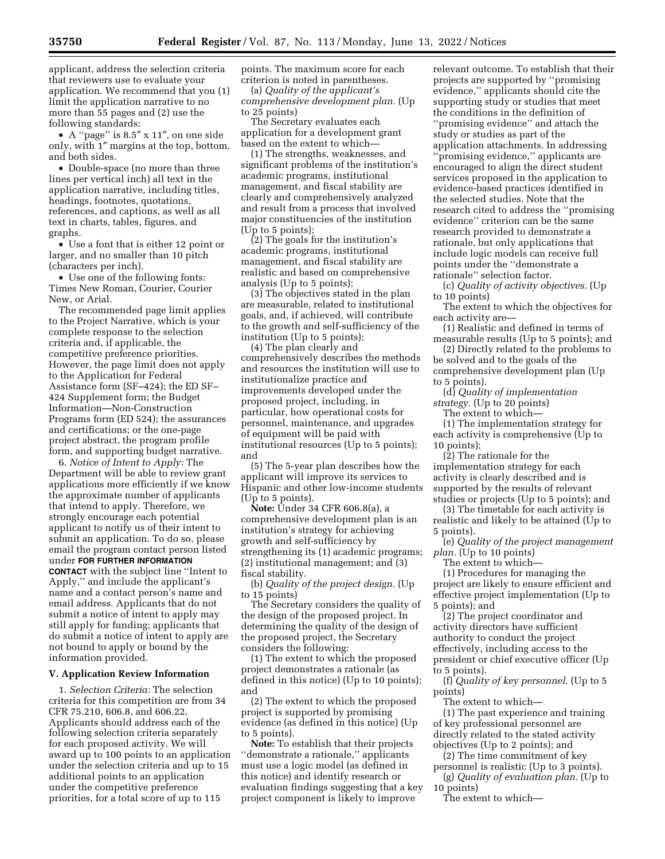applicant, address the selection criteria that reviewers use to evaluate your application. We recommend that you (1) limit the application narrative to no more than 55 pages and (2) use the following standards:

• A ''page'' is 8.5″ x 11″, on one side only, with 1″ margins at the top, bottom, and both sides.

• Double-space (no more than three lines per vertical inch) all text in the application narrative, including titles, headings, footnotes, quotations, references, and captions, as well as all text in charts, tables, figures, and graphs.

• Use a font that is either 12 point or larger, and no smaller than 10 pitch (characters per inch).

• Use one of the following fonts: Times New Roman, Courier, Courier New, or Arial.

The recommended page limit applies to the Project Narrative, which is your complete response to the selection criteria and, if applicable, the competitive preference priorities. However, the page limit does not apply to the Application for Federal Assistance form (SF–424); the ED SF– 424 Supplement form; the Budget Information—Non-Construction Programs form (ED 524); the assurances and certifications; or the one-page project abstract, the program profile form, and supporting budget narrative.

6. *Notice of Intent to Apply:* The Department will be able to review grant applications more efficiently if we know the approximate number of applicants that intend to apply. Therefore, we strongly encourage each potential applicant to notify us of their intent to submit an application. To do so, please email the program contact person listed under **FOR FURTHER INFORMATION CONTACT** with the subject line ''Intent to Apply,'' and include the applicant's name and a contact person's name and email address. Applicants that do not submit a notice of intent to apply may still apply for funding; applicants that do submit a notice of intent to apply are not bound to apply or bound by the information provided.

#### **V. Application Review Information**

1. *Selection Criteria:* The selection criteria for this competition are from 34 CFR 75.210, 606.8, and 606.22. Applicants should address each of the following selection criteria separately for each proposed activity. We will award up to 100 points to an application under the selection criteria and up to 15 additional points to an application under the competitive preference priorities, for a total score of up to 115

points. The maximum score for each criterion is noted in parentheses.

(a) *Quality of the applicant's comprehensive development plan.* (Up to 25 points)

The Secretary evaluates each application for a development grant based on the extent to which—

(1) The strengths, weaknesses, and significant problems of the institution's academic programs, institutional management, and fiscal stability are clearly and comprehensively analyzed and result from a process that involved major constituencies of the institution (Up to 5 points);

(2) The goals for the institution's academic programs, institutional management, and fiscal stability are realistic and based on comprehensive analysis (Up to 5 points);

(3) The objectives stated in the plan are measurable, related to institutional goals, and, if achieved, will contribute to the growth and self-sufficiency of the institution (Up to 5 points);

(4) The plan clearly and comprehensively describes the methods and resources the institution will use to institutionalize practice and improvements developed under the proposed project, including, in particular, how operational costs for personnel, maintenance, and upgrades of equipment will be paid with institutional resources (Up to 5 points); and

(5) The 5-year plan describes how the applicant will improve its services to Hispanic and other low-income students (Up to 5 points).

**Note:** Under 34 CFR 606.8(a), a comprehensive development plan is an institution's strategy for achieving growth and self-sufficiency by strengthening its (1) academic programs; (2) institutional management; and (3) fiscal stability.

(b) *Quality of the project design.* (Up to 15 points)

The Secretary considers the quality of the design of the proposed project. In determining the quality of the design of the proposed project, the Secretary considers the following:

(1) The extent to which the proposed project demonstrates a rationale (as defined in this notice) (Up to 10 points); and

(2) The extent to which the proposed project is supported by promising evidence (as defined in this notice) (Up to 5 points).

**Note:** To establish that their projects ''demonstrate a rationale,'' applicants must use a logic model (as defined in this notice) and identify research or evaluation findings suggesting that a key project component is likely to improve

relevant outcome. To establish that their projects are supported by ''promising evidence,'' applicants should cite the supporting study or studies that meet the conditions in the definition of ''promising evidence'' and attach the study or studies as part of the application attachments. In addressing ''promising evidence,'' applicants are encouraged to align the direct student services proposed in the application to evidence-based practices identified in the selected studies. Note that the research cited to address the ''promising evidence'' criterion can be the same research provided to demonstrate a rationale, but only applications that include logic models can receive full points under the ''demonstrate a rationale'' selection factor.

(c) *Quality of activity objectives.* (Up to 10 points)

The extent to which the objectives for each activity are—

(1) Realistic and defined in terms of measurable results (Up to 5 points); and

(2) Directly related to the problems to be solved and to the goals of the comprehensive development plan (Up to 5 points).

(d) *Quality of implementation* 

*strategy.* (Up to 20 points)

The extent to which—

(1) The implementation strategy for each activity is comprehensive (Up to 10 points);

(2) The rationale for the implementation strategy for each activity is clearly described and is supported by the results of relevant studies or projects (Up to 5 points); and

(3) The timetable for each activity is realistic and likely to be attained (Up to 5 points).

(e) *Quality of the project management plan.* (Up to 10 points)

The extent to which—

(1) Procedures for managing the project are likely to ensure efficient and effective project implementation (Up to 5 points); and

(2) The project coordinator and activity directors have sufficient authority to conduct the project effectively, including access to the president or chief executive officer (Up to 5 points).

(f) *Quality of key personnel.* (Up to 5 points)

The extent to which— (1) The past experience and training of key professional personnel are directly related to the stated activity objectives (Up to 2 points); and

(2) The time commitment of key personnel is realistic (Up to 3 points).

(g) *Quality of evaluation plan.* (Up to 10 points)

The extent to which—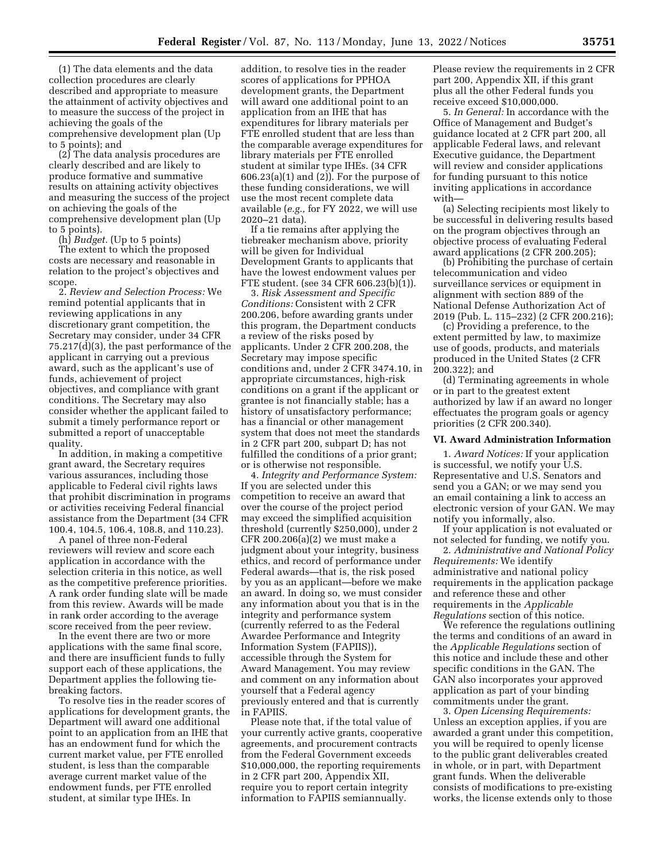(1) The data elements and the data collection procedures are clearly described and appropriate to measure the attainment of activity objectives and to measure the success of the project in achieving the goals of the comprehensive development plan (Up to 5 points); and

(2) The data analysis procedures are clearly described and are likely to produce formative and summative results on attaining activity objectives and measuring the success of the project on achieving the goals of the comprehensive development plan (Up to 5 points).

(h) *Budget.* (Up to 5 points)

The extent to which the proposed costs are necessary and reasonable in relation to the project's objectives and scope.

2. *Review and Selection Process:* We remind potential applicants that in reviewing applications in any discretionary grant competition, the Secretary may consider, under 34 CFR 75.217(d)(3), the past performance of the applicant in carrying out a previous award, such as the applicant's use of funds, achievement of project objectives, and compliance with grant conditions. The Secretary may also consider whether the applicant failed to submit a timely performance report or submitted a report of unacceptable quality.

In addition, in making a competitive grant award, the Secretary requires various assurances, including those applicable to Federal civil rights laws that prohibit discrimination in programs or activities receiving Federal financial assistance from the Department (34 CFR 100.4, 104.5, 106.4, 108.8, and 110.23).

A panel of three non-Federal reviewers will review and score each application in accordance with the selection criteria in this notice, as well as the competitive preference priorities. A rank order funding slate will be made from this review. Awards will be made in rank order according to the average score received from the peer review.

In the event there are two or more applications with the same final score, and there are insufficient funds to fully support each of these applications, the Department applies the following tiebreaking factors.

To resolve ties in the reader scores of applications for development grants, the Department will award one additional point to an application from an IHE that has an endowment fund for which the current market value, per FTE enrolled student, is less than the comparable average current market value of the endowment funds, per FTE enrolled student, at similar type IHEs. In

addition, to resolve ties in the reader scores of applications for PPHOA development grants, the Department will award one additional point to an application from an IHE that has expenditures for library materials per FTE enrolled student that are less than the comparable average expenditures for library materials per FTE enrolled student at similar type IHEs. (34 CFR 606.23(a)(1) and (2)). For the purpose of these funding considerations, we will use the most recent complete data available (*e.g.,* for FY 2022, we will use 2020–21 data).

If a tie remains after applying the tiebreaker mechanism above, priority will be given for Individual Development Grants to applicants that have the lowest endowment values per FTE student. (see 34 CFR 606.23(b)(1)).

3. *Risk Assessment and Specific Conditions:* Consistent with 2 CFR 200.206, before awarding grants under this program, the Department conducts a review of the risks posed by applicants. Under 2 CFR 200.208, the Secretary may impose specific conditions and, under 2 CFR 3474.10, in appropriate circumstances, high-risk conditions on a grant if the applicant or grantee is not financially stable; has a history of unsatisfactory performance; has a financial or other management system that does not meet the standards in 2 CFR part 200, subpart D; has not fulfilled the conditions of a prior grant; or is otherwise not responsible.

4. *Integrity and Performance System:*  If you are selected under this competition to receive an award that over the course of the project period may exceed the simplified acquisition threshold (currently \$250,000), under 2 CFR 200.206(a)(2) we must make a judgment about your integrity, business ethics, and record of performance under Federal awards—that is, the risk posed by you as an applicant—before we make an award. In doing so, we must consider any information about you that is in the integrity and performance system (currently referred to as the Federal Awardee Performance and Integrity Information System (FAPIIS)), accessible through the System for Award Management. You may review and comment on any information about yourself that a Federal agency previously entered and that is currently in FAPIIS.

Please note that, if the total value of your currently active grants, cooperative agreements, and procurement contracts from the Federal Government exceeds \$10,000,000, the reporting requirements in 2 CFR part 200, Appendix XII, require you to report certain integrity information to FAPIIS semiannually.

Please review the requirements in 2 CFR part 200, Appendix XII, if this grant plus all the other Federal funds you receive exceed \$10,000,000.

5. *In General:* In accordance with the Office of Management and Budget's guidance located at 2 CFR part 200, all applicable Federal laws, and relevant Executive guidance, the Department will review and consider applications for funding pursuant to this notice inviting applications in accordance with—

(a) Selecting recipients most likely to be successful in delivering results based on the program objectives through an objective process of evaluating Federal award applications (2 CFR 200.205);

(b) Prohibiting the purchase of certain telecommunication and video surveillance services or equipment in alignment with section 889 of the National Defense Authorization Act of 2019 (Pub. L. 115–232) (2 CFR 200.216);

(c) Providing a preference, to the extent permitted by law, to maximize use of goods, products, and materials produced in the United States (2 CFR 200.322); and

(d) Terminating agreements in whole or in part to the greatest extent authorized by law if an award no longer effectuates the program goals or agency priorities (2 CFR 200.340).

#### **VI. Award Administration Information**

1. *Award Notices:* If your application is successful, we notify your U.S. Representative and U.S. Senators and send you a GAN; or we may send you an email containing a link to access an electronic version of your GAN. We may notify you informally, also.

If your application is not evaluated or not selected for funding, we notify you.

2. *Administrative and National Policy Requirements:* We identify administrative and national policy requirements in the application package and reference these and other requirements in the *Applicable Regulations* section of this notice.

We reference the regulations outlining the terms and conditions of an award in the *Applicable Regulations* section of this notice and include these and other specific conditions in the GAN. The GAN also incorporates your approved application as part of your binding commitments under the grant.

3. *Open Licensing Requirements:*  Unless an exception applies, if you are awarded a grant under this competition, you will be required to openly license to the public grant deliverables created in whole, or in part, with Department grant funds. When the deliverable consists of modifications to pre-existing works, the license extends only to those